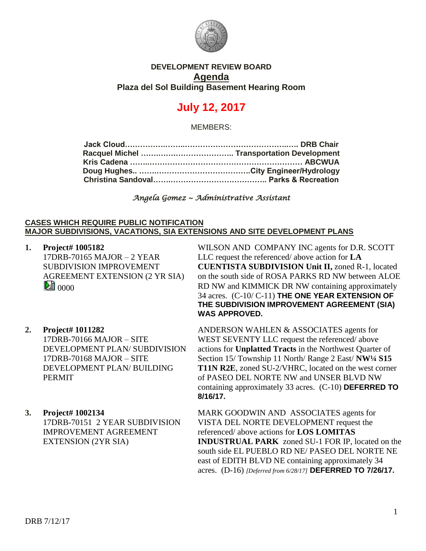

### **DEVELOPMENT REVIEW BOARD Agenda Plaza del Sol Building Basement Hearing Room**

# **July 12, 2017**

MEMBERS:

*Angela Gomez ~ Administrative Assistant*

#### **CASES WHICH REQUIRE PUBLIC NOTIFICATION MAJOR SUBDIVISIONS, VACATIONS, SIA EXTENSIONS AND SITE DEVELOPMENT PLANS**

**1. Project# 1005182** 17DRB-70165 MAJOR – 2 YEAR SUBDIVISION IMPROVEMENT AGREEMENT EXTENSION (2 YR SIA)  $\mathbb{E}$  0000

WILSON AND COMPANY INC agents for D.R. SCOTT LLC request the referenced/ above action for **LA CUENTISTA SUBDIVISION Unit II,** zoned R-1, located on the south side of ROSA PARKS RD NW between ALOE RD NW and KIMMICK DR NW containing approximately 34 acres. (C-10/ C-11) **THE ONE YEAR EXTENSION OF THE SUBDIVISION IMPROVEMENT AGREEMENT (SIA) WAS APPROVED.**

- **2. Project# 1011282** 17DRB-70166 MAJOR – SITE DEVELOPMENT PLAN/ SUBDIVISION 17DRB-70168 MAJOR – SITE DEVELOPMENT PLAN/ BUILDING PERMIT
- **3. Project# 1002134** 17DRB-70151 2 YEAR SUBDIVISION IMPROVEMENT AGREEMENT EXTENSION (2YR SIA)

ANDERSON WAHLEN & ASSOCIATES agents for WEST SEVENTY LLC request the referenced/ above actions for **Unplatted Tracts** in the Northwest Quarter of Section 15/ Township 11 North/ Range 2 East/ **NW¼ S15 T11N R2E**, zoned SU-2/VHRC, located on the west corner of PASEO DEL NORTE NW and UNSER BLVD NW containing approximately 33 acres. (C-10) **DEFERRED TO 8/16/17.**

MARK GOODWIN AND ASSOCIATES agents for VISTA DEL NORTE DEVELOPMENT request the referenced/ above actions for **LOS LOMITAS INDUSTRUAL PARK** zoned SU-1 FOR IP, located on the south side EL PUEBLO RD NE/ PASEO DEL NORTE NE east of EDITH BLVD NE containing approximately 34 acres. (D-16) *[Deferred from 6/28/17]* **DEFERRED TO 7/26/17.**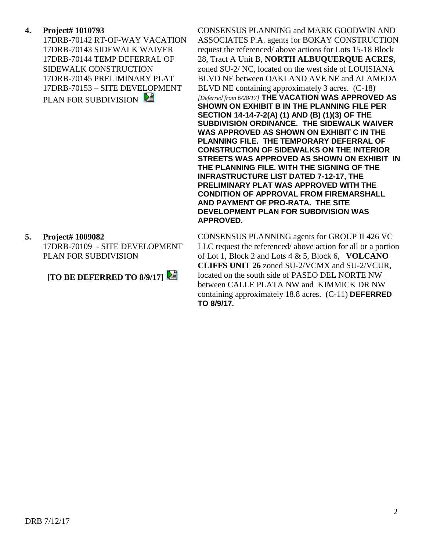### **4. Project# 1010793**

17DRB-70142 RT-OF-WAY VACATION 17DRB-70143 SIDEWALK WAIVER 17DRB-70144 TEMP DEFERRAL OF SIDEWALK CONSTRUCTION 17DRB-70145 PRELIMINARY PLAT 17DRB-70153 – SITE DEVELOPMENT PLAN FOR SUBDIVISION

### **5. Project# 1009082**

17DRB-70109 - SITE DEVELOPMENT PLAN FOR SUBDIVISION

## **[TO BE DEFERRED TO 8/9/17]**

CONSENSUS PLANNING and MARK GOODWIN AND ASSOCIATES P.A. agents for BOKAY CONSTRUCTION request the referenced/ above actions for Lots 15-18 Block 28, Tract A Unit B, **NORTH ALBUQUERQUE ACRES,** zoned SU-2/ NC, located on the west side of LOUISIANA BLVD NE between OAKLAND AVE NE and ALAMEDA BLVD NE containing approximately 3 acres. (C-18) *[Deferred from 6/28/17]* **THE VACATION WAS APPROVED AS SHOWN ON EXHIBIT B IN THE PLANNING FILE PER SECTION 14-14-7-2(A) (1) AND (B) (1)(3) OF THE SUBDIVISION ORDINANCE. THE SIDEWALK WAIVER WAS APPROVED AS SHOWN ON EXHIBIT C IN THE PLANNING FILE. THE TEMPORARY DEFERRAL OF CONSTRUCTION OF SIDEWALKS ON THE INTERIOR STREETS WAS APPROVED AS SHOWN ON EXHIBIT IN THE PLANNING FILE. WITH THE SIGNING OF THE INFRASTRUCTURE LIST DATED 7-12-17, THE PRELIMINARY PLAT WAS APPROVED WITH THE CONDITION OF APPROVAL FROM FIREMARSHALL AND PAYMENT OF PRO-RATA. THE SITE DEVELOPMENT PLAN FOR SUBDIVISION WAS APPROVED.**

CONSENSUS PLANNING agents for GROUP II 426 VC LLC request the referenced/ above action for all or a portion of Lot 1, Block 2 and Lots 4 & 5, Block 6, **VOLCANO CLIFFS UNIT 26** zoned SU-2/VCMX and SU-2/VCUR, located on the south side of PASEO DEL NORTE NW between CALLE PLATA NW and KIMMICK DR NW containing approximately 18.8 acres. (C-11) **DEFERRED TO 8/9/17.**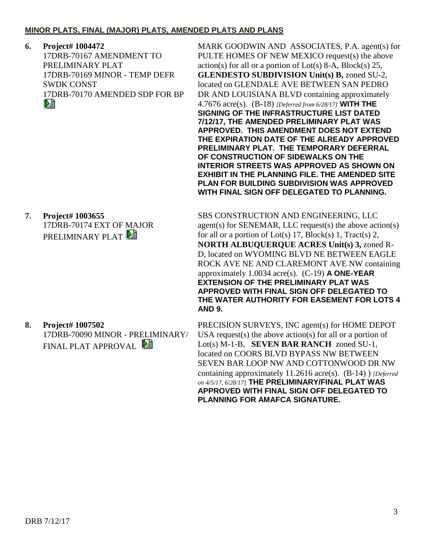#### **MINOR PLATS, FINAL (MAJOR) PLATS, AMENDED PLATS AND PLANS**

**6. Project# 1004472** 17DRB-70167 AMENDMENT TO PRELIMINARY PLAT 17DRB-70169 MINOR - TEMP DEFR SWDK CONST 17DRB-70170 AMENDED SDP FOR BP DÊ

**7. Project# 1003655** 17DRB-70174 EXT OF MAJOR PRELIMINARY PLAT

FINAL PLAT APPROVAL

**AND 9. 8. Project# 1007502** 17DRB-70090 MINOR - PRELIMINARY/

MARK GOODWIN AND ASSOCIATES, P.A. agent(s) for PULTE HOMES OF NEW MEXICO request(s) the above  $action(s)$  for all or a portion of  $Lot(s)$  8-A,  $Block(s)$  25, **GLENDESTO SUBDIVISION Unit(s) B,** zoned SU-2, located on GLENDALE AVE BETWEEN SAN PEDRO DR AND LOUISIANA BLVD containing approximately 4.7676 acre(s). (B-18) *[Deferred from 6/28/17]* **WITH THE SIGNING OF THE INFRASTRUCTURE LIST DATED 7/12/17, THE AMENDED PRELIMINARY PLAT WAS APPROVED. THIS AMENDMENT DOES NOT EXTEND THE EXPIRATION DATE OF THE ALREADY APPROVED PRELIMINARY PLAT. THE TEMPORARY DEFERRAL OF CONSTRUCTION OF SIDEWALKS ON THE INTERIOR STREETS WAS APPROVED AS SHOWN ON EXHIBIT IN THE PLANNING FILE. THE AMENDED SITE PLAN FOR BUILDING SUBDIVISION WAS APPROVED WITH FINAL SIGN OFF DELEGATED TO PLANNING.**

SBS CONSTRUCTION AND ENGINEERING, LLC agent(s) for SENEMAR, LLC request(s) the above action(s) for all or a portion of Lot(s) 17, Block(s) 1, Tract(s) 2, **NORTH ALBUQUERQUE ACRES Unit(s) 3,** zoned R-D, located on WYOMING BLVD NE BETWEEN EAGLE ROCK AVE NE AND CLAREMONT AVE NW containing approximately 1.0034 acre(s). (C-19) **A ONE-YEAR EXTENSION OF THE PRELIMINARY PLAT WAS APPROVED WITH FINAL SIGN OFF DELEGATED TO THE WATER AUTHORITY FOR EASEMENT FOR LOTS 4** 

PRECISION SURVEYS, INC agent(s) for HOME DEPOT USA request(s) the above action(s) for all or a portion of Lot(s) M-1-B, **SEVEN BAR RANCH** zoned SU-1, located on COORS BLVD BYPASS NW BETWEEN SEVEN BAR LOOP NW AND COTTONWOOD DR NW containing approximately 11.2616 acre(s). (B-14) ) *[Deferred on 4/5/17, 6/28/17]* **THE PRELIMINARY/FINAL PLAT WAS APPROVED WITH FINAL SIGN OFF DELEGATED TO PLANNING FOR AMAFCA SIGNATURE.**